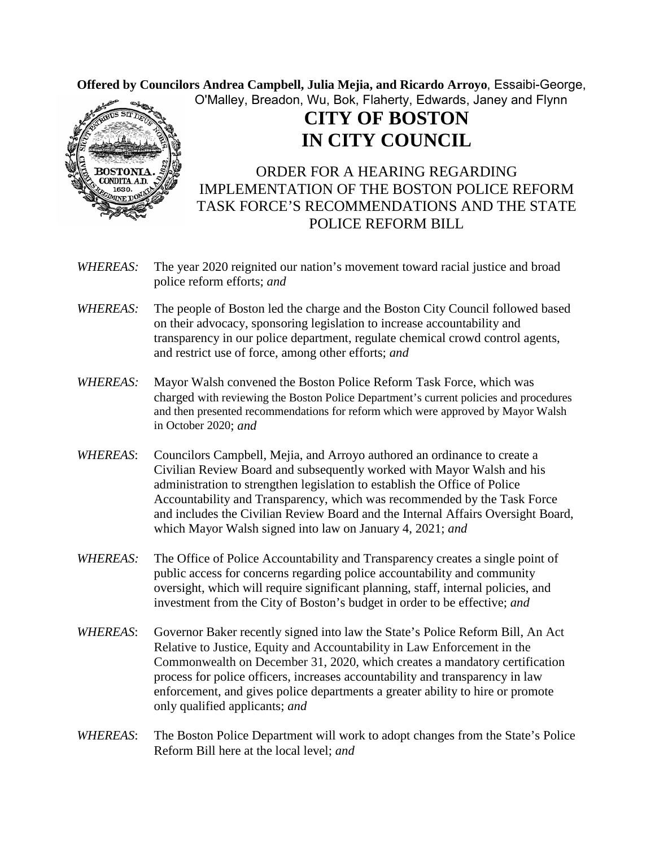Offered by Councilors Andrea Campbell, Julia Mejia, and Ricardo Arroyo, Essaibi-George, O'Malley, Breadon, Wu, Bok, Flaherty, Edwards, Janey and Flynn



## **CITY OF BOSTON IN CITY COUNCIL**

ORDER FOR A HEARING REGARDING IMPLEMENTATION OF THE BOSTON POLICE REFORM TASK FORCE'S RECOMMENDATIONS AND THE STATE POLICE REFORM BILL

- *WHEREAS:* The year 2020 reignited our nation's movement toward racial justice and broad police reform efforts; *and*
- *WHEREAS:* The people of Boston led the charge and the Boston City Council followed based on their advocacy, sponsoring legislation to increase accountability and transparency in our police department, regulate chemical crowd control agents, and restrict use of force, among other efforts; *and*
- *WHEREAS:* Mayor Walsh convened the Boston Police Reform Task Force, which was charged with reviewing the Boston Police Department's current policies and procedures and then presented recommendations for reform which were approved by Mayor Walsh in October 2020; *and*
- *WHEREAS*: Councilors Campbell, Mejia, and Arroyo authored an ordinance to create a Civilian Review Board and subsequently worked with Mayor Walsh and his administration to strengthen legislation to establish the Office of Police Accountability and Transparency, which was recommended by the Task Force and includes the Civilian Review Board and the Internal Affairs Oversight Board, which Mayor Walsh signed into law on January 4, 2021; *and*
- *WHEREAS:* The Office of Police Accountability and Transparency creates a single point of public access for concerns regarding police accountability and community oversight, which will require significant planning, staff, internal policies, and investment from the City of Boston's budget in order to be effective; *and*
- *WHEREAS*: Governor Baker recently signed into law the State's Police Reform Bill, An Act Relative to Justice, Equity and Accountability in Law Enforcement in the Commonwealth on December 31, 2020, which creates a mandatory certification process for police officers, increases accountability and transparency in law enforcement, and gives police departments a greater ability to hire or promote only qualified applicants; *and*
- *WHEREAS*: The Boston Police Department will work to adopt changes from the State's Police Reform Bill here at the local level; *and*